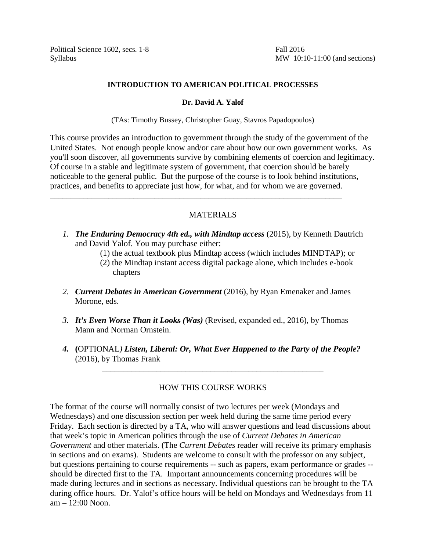Political Science 1602, secs. 1-8 Fall 2016

Syllabus MW 10:10-11:00 (and sections)

# **INTRODUCTION TO AMERICAN POLITICAL PROCESSES**

# **Dr. David A. Yalof**

(TAs: Timothy Bussey, Christopher Guay, Stavros Papadopoulos)

This course provides an introduction to government through the study of the government of the United States. Not enough people know and/or care about how our own government works. As you'll soon discover, all governments survive by combining elements of coercion and legitimacy. Of course in a stable and legitimate system of government, that coercion should be barely noticeable to the general public. But the purpose of the course is to look behind institutions, practices, and benefits to appreciate just how, for what, and for whom we are governed.

# MATERIALS

\_\_\_\_\_\_\_\_\_\_\_\_\_\_\_\_\_\_\_\_\_\_\_\_\_\_\_\_\_\_\_\_\_\_\_\_\_\_\_\_\_\_\_\_\_\_\_\_\_\_\_\_\_\_\_\_\_\_\_\_\_\_\_\_\_\_\_\_\_\_

- *1. The Enduring Democracy 4th ed., with Mindtap access* (2015), by Kenneth Dautrich and David Yalof. You may purchase either:
	- (1) the actual textbook plus Mindtap access (which includes MINDTAP); or
	- (2) the Mindtap instant access digital package alone, which includes e-book chapters
- *2. Current Debates in American Government* (2016), by Ryan Emenaker and James Morone, eds.
- *3. It's Even Worse Than it Looks (Was)* (Revised, expanded ed., 2016), by Thomas Mann and Norman Ornstein.
- *4.* **(**OPTIONAL*) Listen, Liberal: Or, What Ever Happened to the Party of the People?* (2016), by Thomas Frank

\_\_\_\_\_\_\_\_\_\_\_\_\_\_\_\_\_\_\_\_\_\_\_\_\_\_\_\_\_\_\_\_\_\_\_\_\_\_\_\_\_\_\_\_\_\_\_\_\_\_\_\_\_

# HOW THIS COURSE WORKS

The format of the course will normally consist of two lectures per week (Mondays and Wednesdays) and one discussion section per week held during the same time period every Friday. Each section is directed by a TA, who will answer questions and lead discussions about that week's topic in American politics through the use of *Current Debates in American Government* and other materials. (The *Current Debates* reader will receive its primary emphasis in sections and on exams). Students are welcome to consult with the professor on any subject, but questions pertaining to course requirements -- such as papers, exam performance or grades - should be directed first to the TA. Important announcements concerning procedures will be made during lectures and in sections as necessary. Individual questions can be brought to the TA during office hours. Dr. Yalof's office hours will be held on Mondays and Wednesdays from 11 am – 12:00 Noon.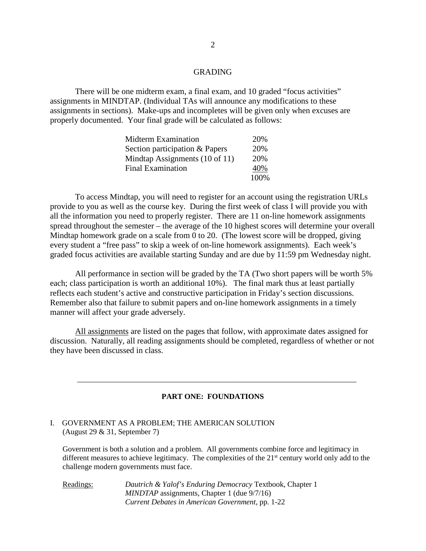# GRADING

There will be one midterm exam, a final exam, and 10 graded "focus activities" assignments in MINDTAP. (Individual TAs will announce any modifications to these assignments in sections). Make-ups and incompletes will be given only when excuses are properly documented. Your final grade will be calculated as follows:

| Midterm Examination            | 20%  |
|--------------------------------|------|
| Section participation & Papers | 20%  |
| Mindtap Assignments (10 of 11) | 20%  |
| <b>Final Examination</b>       | 40%  |
|                                | 100% |

To access Mindtap, you will need to register for an account using the registration URLs provide to you as well as the course key. During the first week of class I will provide you with all the information you need to properly register. There are 11 on-line homework assignments spread throughout the semester – the average of the 10 highest scores will determine your overall Mindtap homework grade on a scale from  $\overline{0}$  to 20. (The lowest score will be dropped, giving every student a "free pass" to skip a week of on-line homework assignments). Each week's graded focus activities are available starting Sunday and are due by 11:59 pm Wednesday night.

All performance in section will be graded by the TA (Two short papers will be worth 5% each; class participation is worth an additional 10%). The final mark thus at least partially reflects each student's active and constructive participation in Friday's section discussions. Remember also that failure to submit papers and on-line homework assignments in a timely manner will affect your grade adversely.

All assignments are listed on the pages that follow, with approximate dates assigned for discussion. Naturally, all reading assignments should be completed, regardless of whether or not they have been discussed in class.

#### **PART ONE: FOUNDATIONS**

\_\_\_\_\_\_\_\_\_\_\_\_\_\_\_\_\_\_\_\_\_\_\_\_\_\_\_\_\_\_\_\_\_\_\_\_\_\_\_\_\_\_\_\_\_\_\_\_\_\_\_\_\_\_\_\_\_\_\_\_\_\_\_\_\_\_\_\_\_\_\_\_\_

#### I. GOVERNMENT AS A PROBLEM; THE AMERICAN SOLUTION (August 29 & 31, September 7)

Government is both a solution and a problem. All governments combine force and legitimacy in different measures to achieve legitimacy. The complexities of the 21<sup>st</sup> century world only add to the challenge modern governments must face.

Readings: *Dautrich & Yalof's Enduring Democracy* Textbook, Chapter 1 *MINDTAP* assignments, Chapter 1 (due 9/7/16) *Current Debates in American Government*, pp. 1-22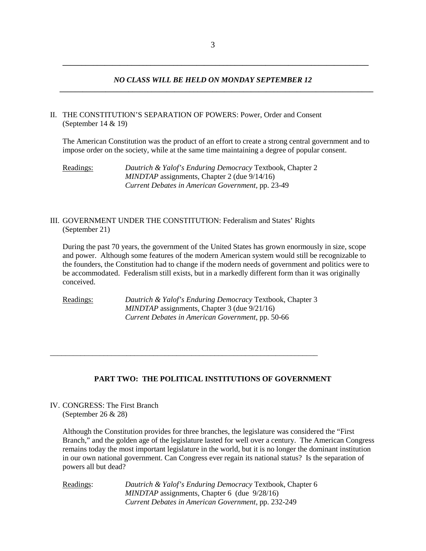**\_\_\_\_\_\_\_\_\_\_\_\_\_\_\_\_\_\_\_\_\_\_\_\_\_\_\_\_\_\_\_\_\_\_\_\_\_\_\_\_\_\_\_\_\_\_\_\_\_\_\_\_\_\_\_\_\_\_\_\_\_\_\_\_\_\_\_\_\_\_\_\_\_\_\_\_\_\_\_\_**

# *NO CLASS WILL BE HELD ON MONDAY SEPTEMBER 12*  **\_\_\_\_\_\_\_\_\_\_\_\_\_\_\_\_\_\_\_\_\_\_\_\_\_\_\_\_\_\_\_\_\_\_\_\_\_\_\_\_\_\_\_\_\_\_\_\_\_\_\_\_\_\_\_\_\_\_\_\_\_\_\_\_\_\_\_\_\_\_\_\_\_\_\_\_\_\_\_\_\_\_**

# II. THE CONSTITUTION'S SEPARATION OF POWERS: Power, Order and Consent (September 14 & 19)

The American Constitution was the product of an effort to create a strong central government and to impose order on the society, while at the same time maintaining a degree of popular consent.

Readings: *Dautrich & Yalof's Enduring Democracy* Textbook, Chapter 2 *MINDTAP* assignments, Chapter 2 (due 9/14/16) *Current Debates in American Government,* pp. 23-49

# III. GOVERNMENT UNDER THE CONSTITUTION: Federalism and States' Rights (September 21)

During the past 70 years, the government of the United States has grown enormously in size, scope and power. Although some features of the modern American system would still be recognizable to the founders, the Constitution had to change if the modern needs of government and politics were to be accommodated. Federalism still exists, but in a markedly different form than it was originally conceived.

Readings: *Dautrich & Yalof's Enduring Democracy* Textbook, Chapter 3 *MINDTAP* assignments, Chapter 3 (due 9/21/16) *Current Debates in American Government*, pp. 50-66

\_\_\_\_\_\_\_\_\_\_\_\_\_\_\_\_\_\_\_\_\_\_\_\_\_\_\_\_\_\_\_\_\_\_\_\_\_\_\_\_\_\_\_\_\_\_\_\_\_\_\_\_\_\_\_\_\_\_\_\_\_\_\_\_\_\_\_\_\_\_

# **PART TWO: THE POLITICAL INSTITUTIONS OF GOVERNMENT**

IV. CONGRESS: The First Branch (September 26 & 28)

> Although the Constitution provides for three branches, the legislature was considered the "First Branch," and the golden age of the legislature lasted for well over a century. The American Congress remains today the most important legislature in the world, but it is no longer the dominant institution in our own national government. Can Congress ever regain its national status? Is the separation of powers all but dead?

Readings: *Dautrich & Yalof's Enduring Democracy* Textbook, Chapter 6 *MINDTAP* assignments, Chapter 6 (due 9/28/16) *Current Debates in American Government,* pp. 232-249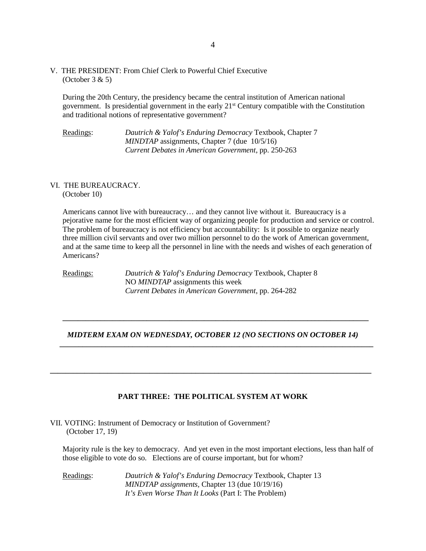V. THE PRESIDENT: From Chief Clerk to Powerful Chief Executive  $(October 3 & 5)$ 

During the 20th Century, the presidency became the central institution of American national government. Is presidential government in the early 21st Century compatible with the Constitution and traditional notions of representative government?

Readings: *Dautrich & Yalof's Enduring Democracy* Textbook, Chapter 7 *MINDTAP* assignments, Chapter 7 (due 10/5/16) *Current Debates in American Government*, pp. 250-263

### VI. THE BUREAUCRACY. (October 10)

Americans cannot live with bureaucracy… and they cannot live without it. Bureaucracy is a pejorative name for the most efficient way of organizing people for production and service or control. The problem of bureaucracy is not efficiency but accountability: Is it possible to organize nearly three million civil servants and over two million personnel to do the work of American government, and at the same time to keep all the personnel in line with the needs and wishes of each generation of Americans?

Readings: *Dautrich & Yalof's Enduring Democracy* Textbook, Chapter 8 NO *MINDTAP* assignments this week *Current Debates in American Government*, pp. 264-282

# *MIDTERM EXAM ON WEDNESDAY, OCTOBER 12 (NO SECTIONS ON OCTOBER 14)*  **\_\_\_\_\_\_\_\_\_\_\_\_\_\_\_\_\_\_\_\_\_\_\_\_\_\_\_\_\_\_\_\_\_\_\_\_\_\_\_\_\_\_\_\_\_\_\_\_\_\_\_\_\_\_\_\_\_\_\_\_\_\_\_\_\_\_\_\_\_\_\_\_\_\_\_\_\_\_\_\_\_\_**

 **\_\_\_\_\_\_\_\_\_\_\_\_\_\_\_\_\_\_\_\_\_\_\_\_\_\_\_\_\_\_\_\_\_\_\_\_\_\_\_\_\_\_\_\_\_\_\_\_\_\_\_\_\_\_\_\_\_\_\_\_\_\_\_\_\_\_\_\_\_\_\_\_\_\_\_\_\_\_\_\_**

# **PART THREE: THE POLITICAL SYSTEM AT WORK**

**\_\_\_\_\_\_\_\_\_\_\_\_\_\_\_\_\_\_\_\_\_\_\_\_\_\_\_\_\_\_\_\_\_\_\_\_\_\_\_\_\_\_\_\_\_\_\_\_\_\_\_\_\_\_\_\_\_\_\_\_\_\_\_\_\_\_\_\_\_\_\_\_\_\_\_\_\_\_\_\_\_\_\_\_**

VII. VOTING: Instrument of Democracy or Institution of Government? (October 17, 19)

Majority rule is the key to democracy. And yet even in the most important elections, less than half of those eligible to vote do so. Elections are of course important, but for whom?

Readings: *Dautrich & Yalof's Enduring Democracy* Textbook, Chapter 13 *MINDTAP assignments,* Chapter 13 (due 10/19/16) *It's Even Worse Than It Looks* (Part I: The Problem)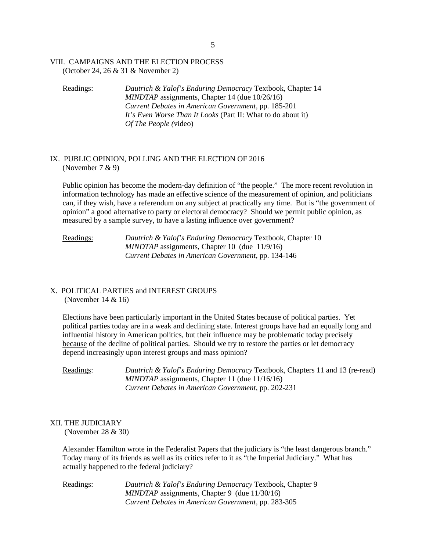#### VIII. CAMPAIGNS AND THE ELECTION PROCESS (October 24, 26 & 31 & November 2)

Readings: *Dautrich & Yalof's Enduring Democracy* Textbook, Chapter 14 *MINDTAP* assignments, Chapter 14 (due 10/26/16) *Current Debates in American Government*, pp. 185-201 *It's Even Worse Than It Looks* (Part II: What to do about it) *Of The People (*video)

#### IX. PUBLIC OPINION, POLLING AND THE ELECTION OF 2016 (November 7 & 9)

Public opinion has become the modern-day definition of "the people." The more recent revolution in information technology has made an effective science of the measurement of opinion, and politicians can, if they wish, have a referendum on any subject at practically any time. But is "the government of opinion" a good alternative to party or electoral democracy? Should we permit public opinion, as measured by a sample survey, to have a lasting influence over government?

## Readings: *Dautrich & Yalof's Enduring Democracy* Textbook, Chapter 10 *MINDTAP* assignments, Chapter 10 (due 11/9/16) *Current Debates in American Government,* pp. 134-146

# X. POLITICAL PARTIES and INTEREST GROUPS (November 14 & 16)

Elections have been particularly important in the United States because of political parties. Yet political parties today are in a weak and declining state. Interest groups have had an equally long and influential history in American politics, but their influence may be problematic today precisely because of the decline of political parties. Should we try to restore the parties or let democracy depend increasingly upon interest groups and mass opinion?

Readings: *Dautrich & Yalof's Enduring Democracy* Textbook, Chapters 11 and 13 (re-read) *MINDTAP* assignments, Chapter 11 (due 11/16/16) *Current Debates in American Government,* pp. 202-231

# XII. THE JUDICIARY

(November 28 & 30)

Alexander Hamilton wrote in the Federalist Papers that the judiciary is "the least dangerous branch." Today many of its friends as well as its critics refer to it as "the Imperial Judiciary." What has actually happened to the federal judiciary?

Readings: *Dautrich & Yalof's Enduring Democracy* Textbook, Chapter 9 *MINDTAP* assignments, Chapter 9 (due 11/30/16) *Current Debates in American Government*, pp. 283-305